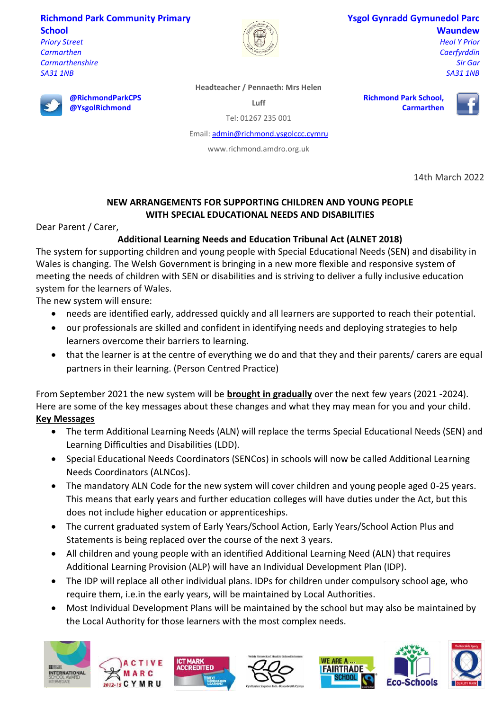### **Richmond Park Community Primary School**

**@RichmondParkCPS @YsgolRichmond**

*Priory Street Carmarthen Carmarthenshire SA31 1NB*



### **Ysgol Gynradd Gymunedol Parc Waundew**

**Carmarthen**

*Heol Y Prior Caerfyrddin Sir Gar SA31 1NB*

**Headteacher / Pennaeth: Mrs Helen** 

**Luff**

Tel: 01267 235 001

Email[: admin@richmond.ysgolccc.cymru](mailto:admin@richmond.ysgolccc.cymru)

www.richmond.amdro.org.uk





14th March 2022

## **NEW ARRANGEMENTS FOR SUPPORTING CHILDREN AND YOUNG PEOPLE WITH SPECIAL EDUCATIONAL NEEDS AND DISABILITIES**

Dear Parent / Carer,

# **Additional Learning Needs and Education Tribunal Act (ALNET 2018)**

The system for supporting children and young people with Special Educational Needs (SEN) and disability in Wales is changing. The Welsh Government is bringing in a new more flexible and responsive system of meeting the needs of children with SEN or disabilities and is striving to deliver a fully inclusive education system for the learners of Wales.

The new system will ensure:

- needs are identified early, addressed quickly and all learners are supported to reach their potential.
- our professionals are skilled and confident in identifying needs and deploying strategies to help learners overcome their barriers to learning.
- that the learner is at the centre of everything we do and that they and their parents/ carers are equal partners in their learning. (Person Centred Practice)

From September 2021 the new system will be **brought in gradually** over the next few years (2021 -2024). Here are some of the key messages about these changes and what they may mean for you and your child. **Key Messages**

- The term Additional Learning Needs (ALN) will replace the terms Special Educational Needs (SEN) and Learning Difficulties and Disabilities (LDD).
- Special Educational Needs Coordinators (SENCos) in schools will now be called Additional Learning Needs Coordinators (ALNCos).
- The mandatory ALN Code for the new system will cover children and young people aged 0-25 years. This means that early years and further education colleges will have duties under the Act, but this does not include higher education or apprenticeships.
- The current graduated system of Early Years/School Action, Early Years/School Action Plus and Statements is being replaced over the course of the next 3 years.
- All children and young people with an identified Additional Learning Need (ALN) that requires Additional Learning Provision (ALP) will have an Individual Development Plan (IDP).
- The IDP will replace all other individual plans. IDPs for children under compulsory school age, who require them, i.e.in the early years, will be maintained by Local Authorities.
- Most Individual Development Plans will be maintained by the school but may also be maintained by the Local Authority for those learners with the most complex needs.